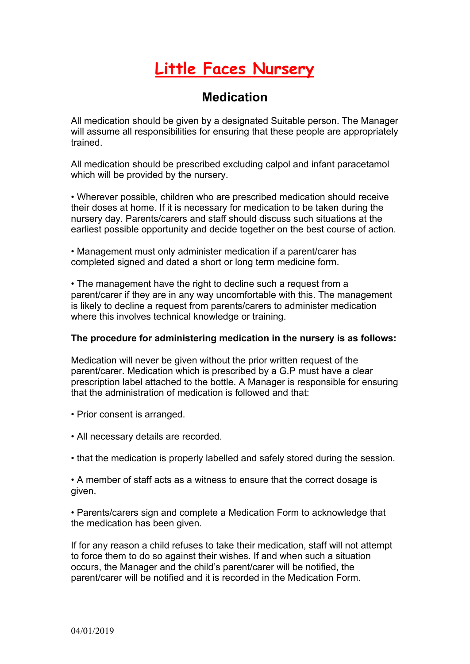## **Little Faces Nursery**

## **Medication**

All medication should be given by a designated Suitable person. The Manager will assume all responsibilities for ensuring that these people are appropriately trained.

All medication should be prescribed excluding calpol and infant paracetamol which will be provided by the nursery.

• Wherever possible, children who are prescribed medication should receive their doses at home. If it is necessary for medication to be taken during the nursery day. Parents/carers and staff should discuss such situations at the earliest possible opportunity and decide together on the best course of action.

• Management must only administer medication if a parent/carer has completed signed and dated a short or long term medicine form.

• The management have the right to decline such a request from a parent/carer if they are in any way uncomfortable with this. The management is likely to decline a request from parents/carers to administer medication where this involves technical knowledge or training.

## **The procedure for administering medication in the nursery is as follows:**

Medication will never be given without the prior written request of the parent/carer. Medication which is prescribed by a G.P must have a clear prescription label attached to the bottle. A Manager is responsible for ensuring that the administration of medication is followed and that:

- Prior consent is arranged.
- All necessary details are recorded.
- that the medication is properly labelled and safely stored during the session.

• A member of staff acts as a witness to ensure that the correct dosage is given.

• Parents/carers sign and complete a Medication Form to acknowledge that the medication has been given.

If for any reason a child refuses to take their medication, staff will not attempt to force them to do so against their wishes. If and when such a situation occurs, the Manager and the child's parent/carer will be notified, the parent/carer will be notified and it is recorded in the Medication Form.